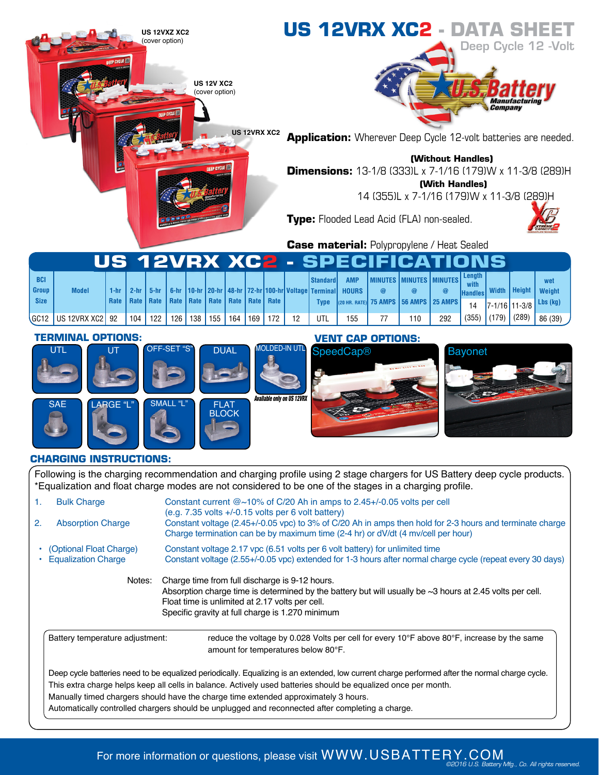

Automatically controlled chargers should be unplugged and reconnected after completing a charge.